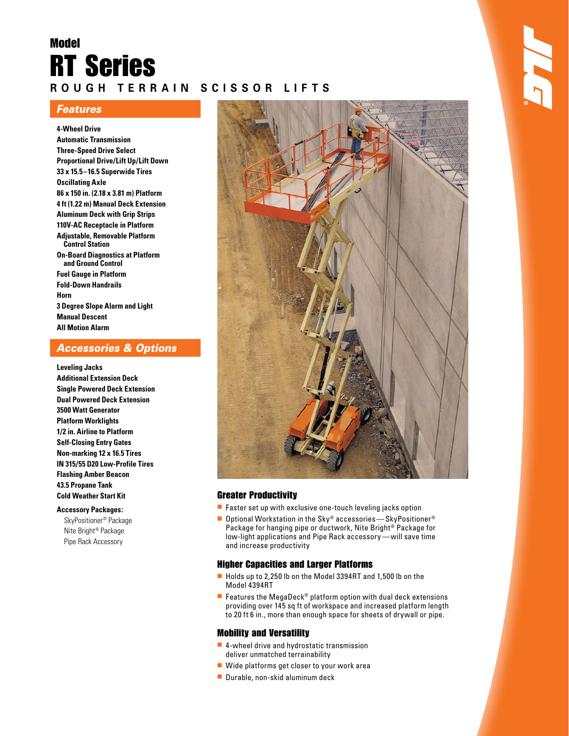# Model RT Series **R O U G H T E R R A I N S C I S S O R L I F T S**

## **Features**

**4-Wheel Drive Automatic Transmission Three-Speed Drive Select Proportional Drive/Lift Up/Lift Down 33 x 15.5 – 16.5 Superwide Tires Oscillating Axle 86 x 150 in. (2.18 x 3.81 m) Platform 4 ft (1.22 m) Manual Deck Extension Aluminum Deck with Grip Strips 110V-AC Receptacle in Platform Adjustable, Removable Platform Control Station On-Board Diagnostics at Platform and Ground Control Fuel Gauge in Platform Fold-Down Handrails Horn 3 Degree Slope Alarm and Light Manual Descent All Motion Alarm**

## Accessories & Options

**Leveling Jacks Additional Extension Deck Single Powered Deck Extension Dual Powered Deck Extension 3500 Watt Generator Platform Worklights 1/2 in. Airline to Platform Self-Closing Entry Gates Non-marking 12 x 16.5 Tires IN 315/55 D20 Low-Profile Tires Flashing Amber Beacon 43.5 Propane Tank Cold Weather Start Kit** 

### **Accessory Packages:**

SkyPositioner® Package Nite Bright® Package Pipe Rack Accessory



### Greater Productivity

- $\blacksquare$  Faster set up with exclusive one-touch leveling jacks option
- Optional Workstation in the Sky® accessories—SkyPositioner® Package for hanging pipe or ductwork, Nite Bright<sup>®</sup> Package for low-light applications and Pipe Rack accessory — will save time and increase productivity

## Higher Capacities and Larger Platforms

- Holds up to 2,250 lb on the Model 3394RT and 1,500 lb on the Model 4394RT
- **E** Features the MegaDeck<sup>®</sup> platform option with dual deck extensions providing over 145 sq ft of workspace and increased platform length to 20 ft 6 in., more than enough space for sheets of drywall or pipe.

## Mobility and Versatility

- 4-wheel drive and hydrostatic transmission deliver unmatched terrainability
- Wide platforms get closer to your work area
- Durable, non-skid aluminum deck